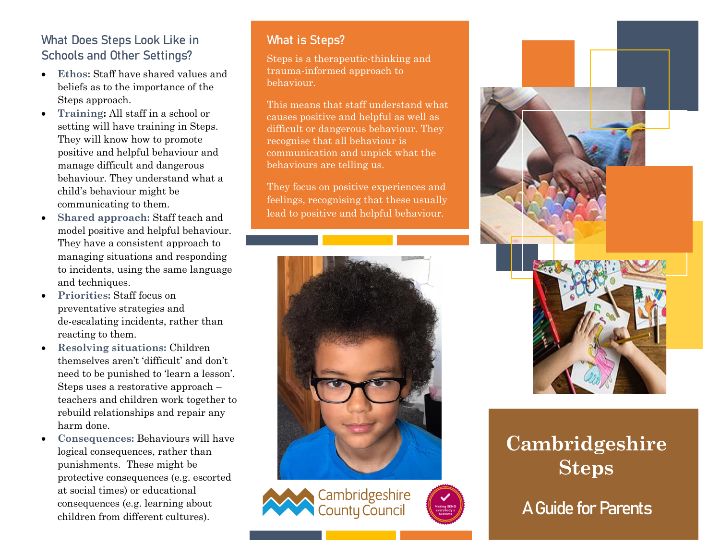## What Does Steps Look Like in Schools and Other Settings?

- **Ethos:** Staff have shared values and beliefs as to the importance of the Steps approach.
- **Training:** All staff in a school or setting will have training in Steps. They will know how to promote positive and helpful behaviour and manage difficult and dangerous behaviour. They understand what a child's behaviour might be communicating to them.
- **Shared approach:** Staff teach and model positive and helpful behaviour. They have a consistent approach to managing situations and responding to incidents, using the same language and techniques.
- **Priorities:** Staff focus on preventative strategies and de-escalating incidents, rather than reacting to them.
- **Resolving situations:** Children themselves aren't 'difficult' and don't need to be punished to 'learn a lesson'. Steps uses a restorative approach – teachers and children work together to rebuild relationships and repair any harm done.
- **Consequences:** Behaviours will have logical consequences, rather than punishments. These might be protective consequences (e.g. escorted at social times) or educational consequences (e.g. learning about children from different cultures).

#### What is Steps?

Steps is a therapeutic-thinking and trauma-informed approach to behaviour.

This means that staff understand what causes positive and helpful as well as difficult or dangerous behaviour. They recognise that all behaviour is communication and unpick what the behaviours are telling us.

They focus on positive experiences and feelings, recognising that these usually lead to positive and helpful behaviour.







# **Cambridgeshire Steps**

A Guide for Parents